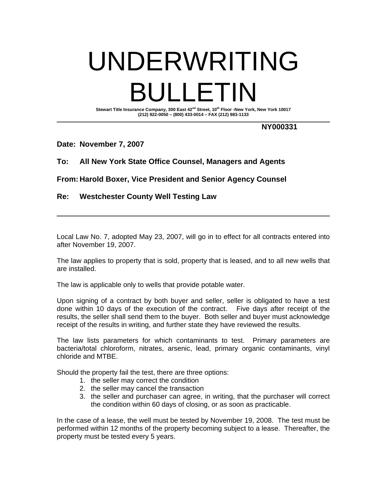# UNDERWRITING BULLETIN

Stewart Title Insurance Company, 300 East 42<sup>nd</sup> Street, 10<sup>th</sup> Floor -New York, New York 10017 **(212) 922-0050 – (800) 433-0014 – FAX (212) 983-1133** 

### **NY000331**

### **Date: November 7, 2007**

## **To: All New York State Office Counsel, Managers and Agents**

**From: Harold Boxer, Vice President and Senior Agency Counsel** 

# **Re: Westchester County Well Testing Law**

Local Law No. 7, adopted May 23, 2007, will go in to effect for all contracts entered into after November 19, 2007.

The law applies to property that is sold, property that is leased, and to all new wells that are installed.

The law is applicable only to wells that provide potable water.

Upon signing of a contract by both buyer and seller, seller is obligated to have a test done within 10 days of the execution of the contract. Five days after receipt of the results, the seller shall send them to the buyer. Both seller and buyer must acknowledge receipt of the results in writing, and further state they have reviewed the results.

The law lists parameters for which contaminants to test. Primary parameters are bacteria/total chloroform, nitrates, arsenic, lead, primary organic contaminants, vinyl chloride and MTBE.

Should the property fail the test, there are three options:

- 1. the seller may correct the condition
- 2. the seller may cancel the transaction
- 3. the seller and purchaser can agree, in writing, that the purchaser will correct the condition within 60 days of closing, or as soon as practicable.

In the case of a lease, the well must be tested by November 19, 2008. The test must be performed within 12 months of the property becoming subject to a lease. Thereafter, the property must be tested every 5 years.